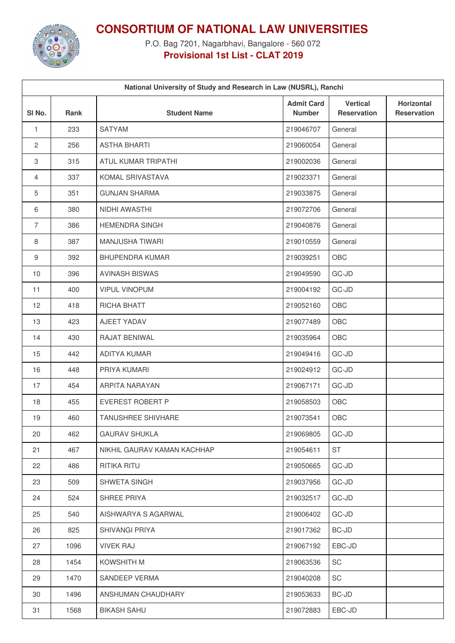

**CONSORTIUM OF NATIONAL LAW UNIVERSITIES**

P.O. Bag 7201, Nagarbhavi, Bangalore - 560 072 **Provisional 1st List - CLAT 2019**

| National University of Study and Research in Law (NUSRL), Ranchi |      |                             |                                    |                                       |                                  |  |  |  |
|------------------------------------------------------------------|------|-----------------------------|------------------------------------|---------------------------------------|----------------------------------|--|--|--|
| SI <sub>No.</sub>                                                | Rank | <b>Student Name</b>         | <b>Admit Card</b><br><b>Number</b> | <b>Vertical</b><br><b>Reservation</b> | Horizontal<br><b>Reservation</b> |  |  |  |
| $\mathbf{1}$                                                     | 233  | <b>SATYAM</b>               | 219046707                          | General                               |                                  |  |  |  |
| $\mathbf{2}$                                                     | 256  | <b>ASTHA BHARTI</b>         | 219060054                          | General                               |                                  |  |  |  |
| 3                                                                | 315  | ATUL KUMAR TRIPATHI         | 219002036                          | General                               |                                  |  |  |  |
| 4                                                                | 337  | KOMAL SRIVASTAVA            | 219023371                          | General                               |                                  |  |  |  |
| 5                                                                | 351  | <b>GUNJAN SHARMA</b>        | 219033875                          | General                               |                                  |  |  |  |
| 6                                                                | 380  | NIDHI AWASTHI               | 219072706                          | General                               |                                  |  |  |  |
| $\overline{7}$                                                   | 386  | <b>HEMENDRA SINGH</b>       | 219040876                          | General                               |                                  |  |  |  |
| 8                                                                | 387  | <b>MANJUSHA TIWARI</b>      | 219010559                          | General                               |                                  |  |  |  |
| 9                                                                | 392  | <b>BHUPENDRA KUMAR</b>      | 219039251                          | OBC                                   |                                  |  |  |  |
| 10                                                               | 396  | <b>AVINASH BISWAS</b>       | 219049590                          | GC-JD                                 |                                  |  |  |  |
| 11                                                               | 400  | <b>VIPUL VINOPUM</b>        | 219004192                          | GC-JD                                 |                                  |  |  |  |
| 12                                                               | 418  | RICHA BHATT                 | 219052160                          | OBC                                   |                                  |  |  |  |
| 13                                                               | 423  | AJEET YADAV                 | 219077489                          | OBC                                   |                                  |  |  |  |
| 14                                                               | 430  | RAJAT BENIWAL               | 219035964                          | OBC                                   |                                  |  |  |  |
| 15                                                               | 442  | <b>ADITYA KUMAR</b>         | 219049416                          | GC-JD                                 |                                  |  |  |  |
| 16                                                               | 448  | PRIYA KUMARI                | 219024912                          | GC-JD                                 |                                  |  |  |  |
| 17                                                               | 454  | ARPITA NARAYAN              | 219067171                          | GC-JD                                 |                                  |  |  |  |
| 18                                                               | 455  | <b>EVEREST ROBERT P</b>     | 219058503                          | OBC                                   |                                  |  |  |  |
| 19                                                               | 460  | <b>TANUSHREE SHIVHARE</b>   | 219073541                          | OBC                                   |                                  |  |  |  |
| 20                                                               | 462  | <b>GAURAV SHUKLA</b>        | 219069805                          | GC-JD                                 |                                  |  |  |  |
| 21                                                               | 467  | NIKHIL GAURAV KAMAN KACHHAP | 219054611                          | ST                                    |                                  |  |  |  |
| 22                                                               | 486  | <b>RITIKA RITU</b>          | 219050665                          | GC-JD                                 |                                  |  |  |  |
| 23                                                               | 509  | SHWETA SINGH                | 219037956                          | GC-JD                                 |                                  |  |  |  |
| 24                                                               | 524  | SHREE PRIYA                 | 219032517                          | GC-JD                                 |                                  |  |  |  |
| 25                                                               | 540  | AISHWARYA S AGARWAL         | 219006402                          | GC-JD                                 |                                  |  |  |  |
| 26                                                               | 825  | <b>SHIVANGI PRIYA</b>       | 219017362                          | BC-JD                                 |                                  |  |  |  |
| 27                                                               | 1096 | <b>VIVEK RAJ</b>            | 219067192                          | EBC-JD                                |                                  |  |  |  |
| 28                                                               | 1454 | KOWSHITH M                  | 219063536                          | SC                                    |                                  |  |  |  |
| 29                                                               | 1470 | SANDEEP VERMA               | 219040208                          | SC                                    |                                  |  |  |  |
| 30                                                               | 1496 | ANSHUMAN CHAUDHARY          | 219053633                          | BC-JD                                 |                                  |  |  |  |
| 31                                                               | 1568 | <b>BIKASH SAHU</b>          | 219072883                          | EBC-JD                                |                                  |  |  |  |